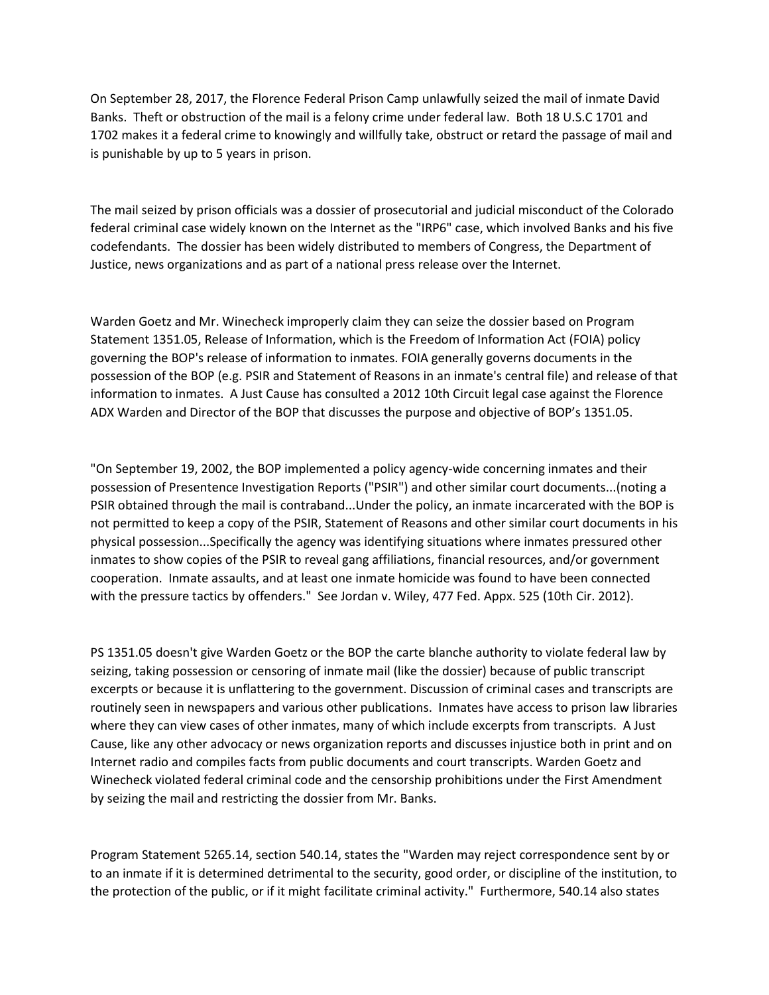On September 28, 2017, the Florence Federal Prison Camp unlawfully seized the mail of inmate David Banks. Theft or obstruction of the mail is a felony crime under federal law. Both 18 U.S.C 1701 and 1702 makes it a federal crime to knowingly and willfully take, obstruct or retard the passage of mail and is punishable by up to 5 years in prison.

The mail seized by prison officials was a dossier of prosecutorial and judicial misconduct of the Colorado federal criminal case widely known on the Internet as the "IRP6" case, which involved Banks and his five codefendants. The dossier has been widely distributed to members of Congress, the Department of Justice, news organizations and as part of a national press release over the Internet.

Warden Goetz and Mr. Winecheck improperly claim they can seize the dossier based on Program Statement 1351.05, Release of Information, which is the Freedom of Information Act (FOIA) policy governing the BOP's release of information to inmates. FOIA generally governs documents in the possession of the BOP (e.g. PSIR and Statement of Reasons in an inmate's central file) and release of that information to inmates. A Just Cause has consulted a 2012 10th Circuit legal case against the Florence ADX Warden and Director of the BOP that discusses the purpose and objective of BOP's 1351.05.

"On September 19, 2002, the BOP implemented a policy agency-wide concerning inmates and their possession of Presentence Investigation Reports ("PSIR") and other similar court documents...(noting a PSIR obtained through the mail is contraband...Under the policy, an inmate incarcerated with the BOP is not permitted to keep a copy of the PSIR, Statement of Reasons and other similar court documents in his physical possession...Specifically the agency was identifying situations where inmates pressured other inmates to show copies of the PSIR to reveal gang affiliations, financial resources, and/or government cooperation. Inmate assaults, and at least one inmate homicide was found to have been connected with the pressure tactics by offenders." See Jordan v. Wiley, 477 Fed. Appx. 525 (10th Cir. 2012).

PS 1351.05 doesn't give Warden Goetz or the BOP the carte blanche authority to violate federal law by seizing, taking possession or censoring of inmate mail (like the dossier) because of public transcript excerpts or because it is unflattering to the government. Discussion of criminal cases and transcripts are routinely seen in newspapers and various other publications. Inmates have access to prison law libraries where they can view cases of other inmates, many of which include excerpts from transcripts. A Just Cause, like any other advocacy or news organization reports and discusses injustice both in print and on Internet radio and compiles facts from public documents and court transcripts. Warden Goetz and Winecheck violated federal criminal code and the censorship prohibitions under the First Amendment by seizing the mail and restricting the dossier from Mr. Banks.

Program Statement 5265.14, section 540.14, states the "Warden may reject correspondence sent by or to an inmate if it is determined detrimental to the security, good order, or discipline of the institution, to the protection of the public, or if it might facilitate criminal activity." Furthermore, 540.14 also states